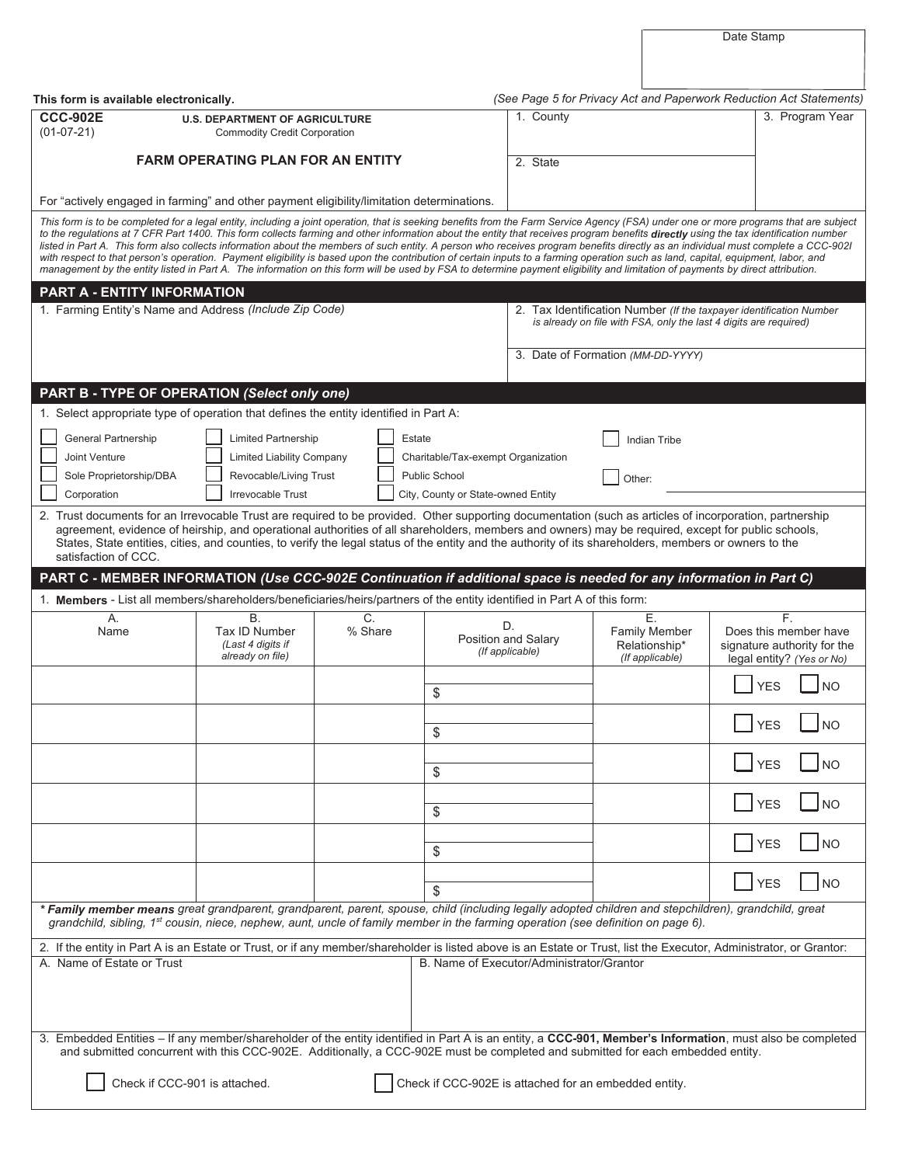Date Stamp

| This form is available electronically.                                                                                                                                                                                                                                                                                                                                                                                                                                                                                                                                                                                                                                                                                                                                                                                                                                                                                                    |                                                                                                               |                             |                                                                                           | (See Page 5 for Privacy Act and Paperwork Reduction Act Statements) |                                                                   |                                                                                         |  |
|-------------------------------------------------------------------------------------------------------------------------------------------------------------------------------------------------------------------------------------------------------------------------------------------------------------------------------------------------------------------------------------------------------------------------------------------------------------------------------------------------------------------------------------------------------------------------------------------------------------------------------------------------------------------------------------------------------------------------------------------------------------------------------------------------------------------------------------------------------------------------------------------------------------------------------------------|---------------------------------------------------------------------------------------------------------------|-----------------------------|-------------------------------------------------------------------------------------------|---------------------------------------------------------------------|-------------------------------------------------------------------|-----------------------------------------------------------------------------------------|--|
| <b>CCC-902E</b><br>$(01-07-21)$                                                                                                                                                                                                                                                                                                                                                                                                                                                                                                                                                                                                                                                                                                                                                                                                                                                                                                           | <b>U.S. DEPARTMENT OF AGRICULTURE</b><br><b>Commodity Credit Corporation</b>                                  |                             |                                                                                           | 1. County                                                           |                                                                   | 3. Program Year                                                                         |  |
|                                                                                                                                                                                                                                                                                                                                                                                                                                                                                                                                                                                                                                                                                                                                                                                                                                                                                                                                           | <b>FARM OPERATING PLAN FOR AN ENTITY</b>                                                                      |                             |                                                                                           | 2. State                                                            |                                                                   |                                                                                         |  |
| For "actively engaged in farming" and other payment eligibility/limitation determinations.                                                                                                                                                                                                                                                                                                                                                                                                                                                                                                                                                                                                                                                                                                                                                                                                                                                |                                                                                                               |                             |                                                                                           |                                                                     |                                                                   |                                                                                         |  |
| This form is to be completed for a legal entity, including a joint operation, that is seeking benefits from the Farm Service Agency (FSA) under one or more programs that are subject<br>to the regulations at 7 CFR Part 1400. This form collects farming and other information about the entity that receives program benefits directly using the tax identification number<br>listed in Part A. This form also collects information about the members of such entity. A person who receives program benefits directly as an individual must complete a CCC-9021<br>with respect to that person's operation. Payment eligibility is based upon the contribution of certain inputs to a farming operation such as land, capital, equipment, labor, and<br>management by the entity listed in Part A. The information on this form will be used by FSA to determine payment eligibility and limitation of payments by direct attribution. |                                                                                                               |                             |                                                                                           |                                                                     |                                                                   |                                                                                         |  |
| PART A - ENTITY INFORMATION<br>1. Farming Entity's Name and Address (Include Zip Code)                                                                                                                                                                                                                                                                                                                                                                                                                                                                                                                                                                                                                                                                                                                                                                                                                                                    |                                                                                                               |                             |                                                                                           |                                                                     | is already on file with FSA, only the last 4 digits are required) | 2. Tax Identification Number (If the taxpayer identification Number                     |  |
|                                                                                                                                                                                                                                                                                                                                                                                                                                                                                                                                                                                                                                                                                                                                                                                                                                                                                                                                           |                                                                                                               |                             | 3. Date of Formation (MM-DD-YYYY)                                                         |                                                                     |                                                                   |                                                                                         |  |
| PART B - TYPE OF OPERATION (Select only one)                                                                                                                                                                                                                                                                                                                                                                                                                                                                                                                                                                                                                                                                                                                                                                                                                                                                                              |                                                                                                               |                             |                                                                                           |                                                                     |                                                                   |                                                                                         |  |
| 1. Select appropriate type of operation that defines the entity identified in Part A:                                                                                                                                                                                                                                                                                                                                                                                                                                                                                                                                                                                                                                                                                                                                                                                                                                                     |                                                                                                               |                             |                                                                                           |                                                                     |                                                                   |                                                                                         |  |
| General Partnership<br>Joint Venture<br>Sole Proprietorship/DBA<br>Corporation                                                                                                                                                                                                                                                                                                                                                                                                                                                                                                                                                                                                                                                                                                                                                                                                                                                            | <b>Limited Partnership</b><br><b>Limited Liability Company</b><br>Revocable/Living Trust<br>Irrevocable Trust | Estate                      | Charitable/Tax-exempt Organization<br>Public School<br>City, County or State-owned Entity |                                                                     | <b>Indian Tribe</b><br>Other:                                     |                                                                                         |  |
| 2. Trust documents for an Irrevocable Trust are required to be provided. Other supporting documentation (such as articles of incorporation, partnership<br>agreement, evidence of heirship, and operational authorities of all shareholders, members and owners) may be required, except for public schools,<br>States, State entities, cities, and counties, to verify the legal status of the entity and the authority of its shareholders, members or owners to the<br>satisfaction of CCC.                                                                                                                                                                                                                                                                                                                                                                                                                                            |                                                                                                               |                             |                                                                                           |                                                                     |                                                                   |                                                                                         |  |
| PART C - MEMBER INFORMATION (Use CCC-902E Continuation if additional space is needed for any information in Part C)                                                                                                                                                                                                                                                                                                                                                                                                                                                                                                                                                                                                                                                                                                                                                                                                                       |                                                                                                               |                             |                                                                                           |                                                                     |                                                                   |                                                                                         |  |
| 1. Members - List all members/shareholders/beneficiaries/heirs/partners of the entity identified in Part A of this form:                                                                                                                                                                                                                                                                                                                                                                                                                                                                                                                                                                                                                                                                                                                                                                                                                  |                                                                                                               |                             |                                                                                           |                                                                     |                                                                   |                                                                                         |  |
| Α.<br>Name                                                                                                                                                                                                                                                                                                                                                                                                                                                                                                                                                                                                                                                                                                                                                                                                                                                                                                                                | <b>B.</b><br>Tax ID Number<br>(Last 4 digits if<br>already on file)                                           | $\overline{C}$ .<br>% Share |                                                                                           | D.<br>Position and Salary<br>(If applicable)                        | Ε.<br><b>Family Member</b><br>Relationship*<br>(If applicable)    | F.<br>Does this member have<br>signature authority for the<br>legal entity? (Yes or No) |  |
|                                                                                                                                                                                                                                                                                                                                                                                                                                                                                                                                                                                                                                                                                                                                                                                                                                                                                                                                           |                                                                                                               |                             | \$                                                                                        |                                                                     |                                                                   | <b>YES</b><br><b>NO</b>                                                                 |  |
|                                                                                                                                                                                                                                                                                                                                                                                                                                                                                                                                                                                                                                                                                                                                                                                                                                                                                                                                           |                                                                                                               |                             | \$                                                                                        |                                                                     |                                                                   | <b>YES</b><br><b>NO</b>                                                                 |  |
|                                                                                                                                                                                                                                                                                                                                                                                                                                                                                                                                                                                                                                                                                                                                                                                                                                                                                                                                           |                                                                                                               |                             | \$                                                                                        |                                                                     |                                                                   | <b>YES</b><br><b>NO</b>                                                                 |  |
|                                                                                                                                                                                                                                                                                                                                                                                                                                                                                                                                                                                                                                                                                                                                                                                                                                                                                                                                           |                                                                                                               |                             | \$                                                                                        |                                                                     |                                                                   | <b>YES</b><br><b>NO</b>                                                                 |  |
|                                                                                                                                                                                                                                                                                                                                                                                                                                                                                                                                                                                                                                                                                                                                                                                                                                                                                                                                           |                                                                                                               |                             | \$                                                                                        |                                                                     |                                                                   | <b>YES</b><br>NO.                                                                       |  |
|                                                                                                                                                                                                                                                                                                                                                                                                                                                                                                                                                                                                                                                                                                                                                                                                                                                                                                                                           |                                                                                                               |                             | \$                                                                                        |                                                                     |                                                                   | <b>YES</b><br><b>NO</b>                                                                 |  |
| * Family member means great grandparent, grandparent, parent, spouse, child (including legally adopted children and stepchildren), grandchild, great<br>grandchild, sibling, 1 <sup>st</sup> cousin, niece, nephew, aunt, uncle of family member in the farming operation (see definition on page 6).                                                                                                                                                                                                                                                                                                                                                                                                                                                                                                                                                                                                                                     |                                                                                                               |                             |                                                                                           |                                                                     |                                                                   |                                                                                         |  |
| 2. If the entity in Part A is an Estate or Trust, or if any member/shareholder is listed above is an Estate or Trust, list the Executor, Administrator, or Grantor:                                                                                                                                                                                                                                                                                                                                                                                                                                                                                                                                                                                                                                                                                                                                                                       |                                                                                                               |                             |                                                                                           |                                                                     |                                                                   |                                                                                         |  |
| A. Name of Estate or Trust                                                                                                                                                                                                                                                                                                                                                                                                                                                                                                                                                                                                                                                                                                                                                                                                                                                                                                                |                                                                                                               |                             | B. Name of Executor/Administrator/Grantor                                                 |                                                                     |                                                                   |                                                                                         |  |
| 3. Embedded Entities - If any member/shareholder of the entity identified in Part A is an entity, a CCC-901, Member's Information, must also be completed<br>and submitted concurrent with this CCC-902E. Additionally, a CCC-902E must be completed and submitted for each embedded entity.                                                                                                                                                                                                                                                                                                                                                                                                                                                                                                                                                                                                                                              |                                                                                                               |                             |                                                                                           |                                                                     |                                                                   |                                                                                         |  |
| Check if CCC-901 is attached.                                                                                                                                                                                                                                                                                                                                                                                                                                                                                                                                                                                                                                                                                                                                                                                                                                                                                                             |                                                                                                               |                             |                                                                                           |                                                                     | Check if CCC-902E is attached for an embedded entity.             |                                                                                         |  |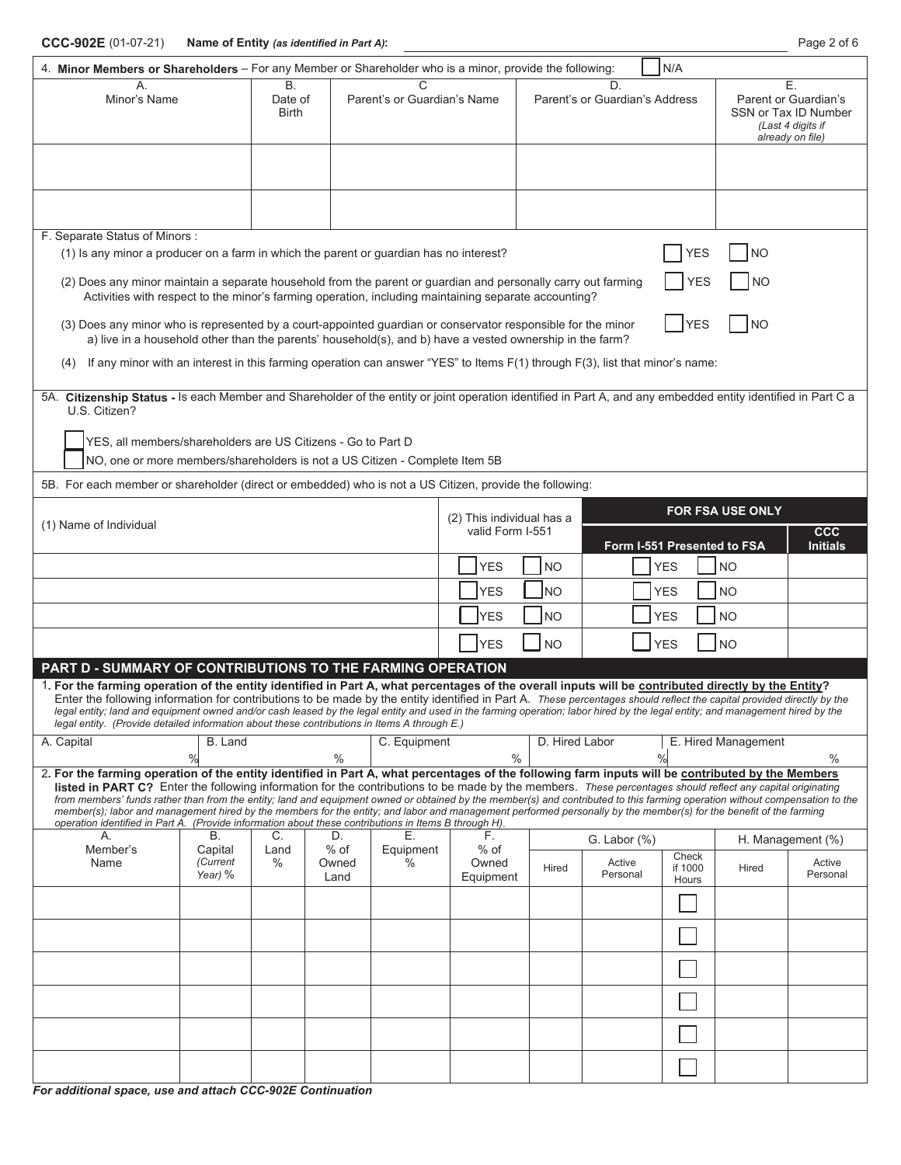| <b>B.</b><br>D.<br>Е.<br>A<br>Minor's Name<br>Date of<br>Parent's or Guardian's Name<br>Parent's or Guardian's Address<br>Parent or Guardian's<br><b>Birth</b><br>SSN or Tax ID Number<br>(Last 4 digits if<br>already on file)<br>F. Separate Status of Minors:<br>(1) Is any minor a producer on a farm in which the parent or guardian has no interest?<br>YES<br>NΟ<br>(2) Does any minor maintain a separate household from the parent or guardian and personally carry out farming<br><b>NO</b><br>YES<br>Activities with respect to the minor's farming operation, including maintaining separate accounting?<br><b>YES</b><br><b>NO</b><br>(3) Does any minor who is represented by a court-appointed guardian or conservator responsible for the minor<br>a) live in a household other than the parents' household(s), and b) have a vested ownership in the farm?<br>If any minor with an interest in this farming operation can answer "YES" to Items $F(1)$ through $F(3)$ , list that minor's name:<br>(4)<br>5A. Citizenship Status - Is each Member and Shareholder of the entity or joint operation identified in Part A, and any embedded entity identified in Part C a<br>U.S. Citizen?<br>YES, all members/shareholders are US Citizens - Go to Part D<br>NO, one or more members/shareholders is not a US Citizen - Complete Item 5B<br>5B. For each member or shareholder (direct or embedded) who is not a US Citizen, provide the following:<br><b>FOR FSA USE ONLY</b><br>(2) This individual has a<br>(1) Name of Individual<br>valid Form I-551<br><b>CCC</b><br>Form I-551 Presented to FSA<br><b>Initials</b><br><b>YES</b><br>NO<br><b>YES</b><br><b>NO</b><br><b>YES</b><br> NO<br><b>YES</b><br><b>NO</b><br><b>YES</b><br>NO)<br><b>YES</b><br><b>NO</b><br><b>YES</b><br><b>NO</b><br><b>YES</b><br><b>NO</b><br>PART D - SUMMARY OF CONTRIBUTIONS TO THE FARMING OPERATION<br>1. For the farming operation of the entity identified in Part A, what percentages of the overall inputs will be contributed directly by the Entity?<br>Enter the following information for contributions to be made by the entity identified in Part A. These percentages should reflect the capital provided directly by the<br>legal entity; land and equipment owned and/or cash leased by the legal entity and used in the farming operation; labor hired by the legal entity; and management hired by the<br>legal entity. (Provide detailed information about these contributions in Items A through E.)<br>D. Hired Labor<br>E. Hired Management<br>A. Capital<br>B. Land<br>C. Equipment<br>%<br>$\%$<br>$\%$<br>$\%$<br>$\%$<br>2. For the farming operation of the entity identified in Part A, what percentages of the following farm inputs will be contributed by the Members<br><b>listed in PART C?</b> Enter the following information for the contributions to be made by the members. These percentages should reflect any capital originating<br>from members' funds rather than from the entity; land and equipment owned or obtained by the member(s) and contributed to this farming operation without compensation to the<br>member(s); labor and management hired by the members for the entity; and labor and management performed personally by the member(s) for the benefit of the farming<br>operation identified in Part A. (Provide information about these contributions in Items B through H).<br>Β.<br>Е.<br>А.<br>C.<br>D.<br>F.<br>G. Labor $(\%)$<br>H. Management (%)<br>$%$ of<br>Member's<br>$%$ of<br>Capital<br>Equipment<br>Land<br>Check<br>(Current<br>$\%$<br>Name<br>$\%$<br>Owned<br>Active<br>Active<br>Owned<br>Hired<br>if 1000<br>Hired<br>Personal<br>Personal<br>Year) %<br>Equipment<br>Land<br>Hours | 4. Minor Members or Shareholders - For any Member or Shareholder who is a minor, provide the following: |  |  |  |  |  | N/A |  |  |
|------------------------------------------------------------------------------------------------------------------------------------------------------------------------------------------------------------------------------------------------------------------------------------------------------------------------------------------------------------------------------------------------------------------------------------------------------------------------------------------------------------------------------------------------------------------------------------------------------------------------------------------------------------------------------------------------------------------------------------------------------------------------------------------------------------------------------------------------------------------------------------------------------------------------------------------------------------------------------------------------------------------------------------------------------------------------------------------------------------------------------------------------------------------------------------------------------------------------------------------------------------------------------------------------------------------------------------------------------------------------------------------------------------------------------------------------------------------------------------------------------------------------------------------------------------------------------------------------------------------------------------------------------------------------------------------------------------------------------------------------------------------------------------------------------------------------------------------------------------------------------------------------------------------------------------------------------------------------------------------------------------------------------------------------------------------------------------------------------------------------------------------------------------------------------------------------------------------------------------------------------------------------------------------------------------------------------------------------------------------------------------------------------------------------------------------------------------------------------------------------------------------------------------------------------------------------------------------------------------------------------------------------------------------------------------------------------------------------------------------------------------------------------------------------------------------------------------------------------------------------------------------------------------------------------------------------------------------------------------------------------------------------------------------------------------------------------------------------------------------------------------------------------------------------------------------------------------------------------------------------------------------------------------------------------------------------------------------------------------------------------------------------------------------------------------------------------------------------------------------------------------------------------------------------------------------------------------------------------------------------------------------------------------------------------------------------------------------------------------------------------------------------------|---------------------------------------------------------------------------------------------------------|--|--|--|--|--|-----|--|--|
|                                                                                                                                                                                                                                                                                                                                                                                                                                                                                                                                                                                                                                                                                                                                                                                                                                                                                                                                                                                                                                                                                                                                                                                                                                                                                                                                                                                                                                                                                                                                                                                                                                                                                                                                                                                                                                                                                                                                                                                                                                                                                                                                                                                                                                                                                                                                                                                                                                                                                                                                                                                                                                                                                                                                                                                                                                                                                                                                                                                                                                                                                                                                                                                                                                                                                                                                                                                                                                                                                                                                                                                                                                                                                                                                                                              |                                                                                                         |  |  |  |  |  |     |  |  |
|                                                                                                                                                                                                                                                                                                                                                                                                                                                                                                                                                                                                                                                                                                                                                                                                                                                                                                                                                                                                                                                                                                                                                                                                                                                                                                                                                                                                                                                                                                                                                                                                                                                                                                                                                                                                                                                                                                                                                                                                                                                                                                                                                                                                                                                                                                                                                                                                                                                                                                                                                                                                                                                                                                                                                                                                                                                                                                                                                                                                                                                                                                                                                                                                                                                                                                                                                                                                                                                                                                                                                                                                                                                                                                                                                                              |                                                                                                         |  |  |  |  |  |     |  |  |
|                                                                                                                                                                                                                                                                                                                                                                                                                                                                                                                                                                                                                                                                                                                                                                                                                                                                                                                                                                                                                                                                                                                                                                                                                                                                                                                                                                                                                                                                                                                                                                                                                                                                                                                                                                                                                                                                                                                                                                                                                                                                                                                                                                                                                                                                                                                                                                                                                                                                                                                                                                                                                                                                                                                                                                                                                                                                                                                                                                                                                                                                                                                                                                                                                                                                                                                                                                                                                                                                                                                                                                                                                                                                                                                                                                              |                                                                                                         |  |  |  |  |  |     |  |  |
|                                                                                                                                                                                                                                                                                                                                                                                                                                                                                                                                                                                                                                                                                                                                                                                                                                                                                                                                                                                                                                                                                                                                                                                                                                                                                                                                                                                                                                                                                                                                                                                                                                                                                                                                                                                                                                                                                                                                                                                                                                                                                                                                                                                                                                                                                                                                                                                                                                                                                                                                                                                                                                                                                                                                                                                                                                                                                                                                                                                                                                                                                                                                                                                                                                                                                                                                                                                                                                                                                                                                                                                                                                                                                                                                                                              |                                                                                                         |  |  |  |  |  |     |  |  |
|                                                                                                                                                                                                                                                                                                                                                                                                                                                                                                                                                                                                                                                                                                                                                                                                                                                                                                                                                                                                                                                                                                                                                                                                                                                                                                                                                                                                                                                                                                                                                                                                                                                                                                                                                                                                                                                                                                                                                                                                                                                                                                                                                                                                                                                                                                                                                                                                                                                                                                                                                                                                                                                                                                                                                                                                                                                                                                                                                                                                                                                                                                                                                                                                                                                                                                                                                                                                                                                                                                                                                                                                                                                                                                                                                                              |                                                                                                         |  |  |  |  |  |     |  |  |
|                                                                                                                                                                                                                                                                                                                                                                                                                                                                                                                                                                                                                                                                                                                                                                                                                                                                                                                                                                                                                                                                                                                                                                                                                                                                                                                                                                                                                                                                                                                                                                                                                                                                                                                                                                                                                                                                                                                                                                                                                                                                                                                                                                                                                                                                                                                                                                                                                                                                                                                                                                                                                                                                                                                                                                                                                                                                                                                                                                                                                                                                                                                                                                                                                                                                                                                                                                                                                                                                                                                                                                                                                                                                                                                                                                              |                                                                                                         |  |  |  |  |  |     |  |  |
|                                                                                                                                                                                                                                                                                                                                                                                                                                                                                                                                                                                                                                                                                                                                                                                                                                                                                                                                                                                                                                                                                                                                                                                                                                                                                                                                                                                                                                                                                                                                                                                                                                                                                                                                                                                                                                                                                                                                                                                                                                                                                                                                                                                                                                                                                                                                                                                                                                                                                                                                                                                                                                                                                                                                                                                                                                                                                                                                                                                                                                                                                                                                                                                                                                                                                                                                                                                                                                                                                                                                                                                                                                                                                                                                                                              |                                                                                                         |  |  |  |  |  |     |  |  |
|                                                                                                                                                                                                                                                                                                                                                                                                                                                                                                                                                                                                                                                                                                                                                                                                                                                                                                                                                                                                                                                                                                                                                                                                                                                                                                                                                                                                                                                                                                                                                                                                                                                                                                                                                                                                                                                                                                                                                                                                                                                                                                                                                                                                                                                                                                                                                                                                                                                                                                                                                                                                                                                                                                                                                                                                                                                                                                                                                                                                                                                                                                                                                                                                                                                                                                                                                                                                                                                                                                                                                                                                                                                                                                                                                                              |                                                                                                         |  |  |  |  |  |     |  |  |
|                                                                                                                                                                                                                                                                                                                                                                                                                                                                                                                                                                                                                                                                                                                                                                                                                                                                                                                                                                                                                                                                                                                                                                                                                                                                                                                                                                                                                                                                                                                                                                                                                                                                                                                                                                                                                                                                                                                                                                                                                                                                                                                                                                                                                                                                                                                                                                                                                                                                                                                                                                                                                                                                                                                                                                                                                                                                                                                                                                                                                                                                                                                                                                                                                                                                                                                                                                                                                                                                                                                                                                                                                                                                                                                                                                              |                                                                                                         |  |  |  |  |  |     |  |  |
|                                                                                                                                                                                                                                                                                                                                                                                                                                                                                                                                                                                                                                                                                                                                                                                                                                                                                                                                                                                                                                                                                                                                                                                                                                                                                                                                                                                                                                                                                                                                                                                                                                                                                                                                                                                                                                                                                                                                                                                                                                                                                                                                                                                                                                                                                                                                                                                                                                                                                                                                                                                                                                                                                                                                                                                                                                                                                                                                                                                                                                                                                                                                                                                                                                                                                                                                                                                                                                                                                                                                                                                                                                                                                                                                                                              |                                                                                                         |  |  |  |  |  |     |  |  |
|                                                                                                                                                                                                                                                                                                                                                                                                                                                                                                                                                                                                                                                                                                                                                                                                                                                                                                                                                                                                                                                                                                                                                                                                                                                                                                                                                                                                                                                                                                                                                                                                                                                                                                                                                                                                                                                                                                                                                                                                                                                                                                                                                                                                                                                                                                                                                                                                                                                                                                                                                                                                                                                                                                                                                                                                                                                                                                                                                                                                                                                                                                                                                                                                                                                                                                                                                                                                                                                                                                                                                                                                                                                                                                                                                                              |                                                                                                         |  |  |  |  |  |     |  |  |
|                                                                                                                                                                                                                                                                                                                                                                                                                                                                                                                                                                                                                                                                                                                                                                                                                                                                                                                                                                                                                                                                                                                                                                                                                                                                                                                                                                                                                                                                                                                                                                                                                                                                                                                                                                                                                                                                                                                                                                                                                                                                                                                                                                                                                                                                                                                                                                                                                                                                                                                                                                                                                                                                                                                                                                                                                                                                                                                                                                                                                                                                                                                                                                                                                                                                                                                                                                                                                                                                                                                                                                                                                                                                                                                                                                              |                                                                                                         |  |  |  |  |  |     |  |  |
|                                                                                                                                                                                                                                                                                                                                                                                                                                                                                                                                                                                                                                                                                                                                                                                                                                                                                                                                                                                                                                                                                                                                                                                                                                                                                                                                                                                                                                                                                                                                                                                                                                                                                                                                                                                                                                                                                                                                                                                                                                                                                                                                                                                                                                                                                                                                                                                                                                                                                                                                                                                                                                                                                                                                                                                                                                                                                                                                                                                                                                                                                                                                                                                                                                                                                                                                                                                                                                                                                                                                                                                                                                                                                                                                                                              |                                                                                                         |  |  |  |  |  |     |  |  |
|                                                                                                                                                                                                                                                                                                                                                                                                                                                                                                                                                                                                                                                                                                                                                                                                                                                                                                                                                                                                                                                                                                                                                                                                                                                                                                                                                                                                                                                                                                                                                                                                                                                                                                                                                                                                                                                                                                                                                                                                                                                                                                                                                                                                                                                                                                                                                                                                                                                                                                                                                                                                                                                                                                                                                                                                                                                                                                                                                                                                                                                                                                                                                                                                                                                                                                                                                                                                                                                                                                                                                                                                                                                                                                                                                                              |                                                                                                         |  |  |  |  |  |     |  |  |
|                                                                                                                                                                                                                                                                                                                                                                                                                                                                                                                                                                                                                                                                                                                                                                                                                                                                                                                                                                                                                                                                                                                                                                                                                                                                                                                                                                                                                                                                                                                                                                                                                                                                                                                                                                                                                                                                                                                                                                                                                                                                                                                                                                                                                                                                                                                                                                                                                                                                                                                                                                                                                                                                                                                                                                                                                                                                                                                                                                                                                                                                                                                                                                                                                                                                                                                                                                                                                                                                                                                                                                                                                                                                                                                                                                              |                                                                                                         |  |  |  |  |  |     |  |  |
|                                                                                                                                                                                                                                                                                                                                                                                                                                                                                                                                                                                                                                                                                                                                                                                                                                                                                                                                                                                                                                                                                                                                                                                                                                                                                                                                                                                                                                                                                                                                                                                                                                                                                                                                                                                                                                                                                                                                                                                                                                                                                                                                                                                                                                                                                                                                                                                                                                                                                                                                                                                                                                                                                                                                                                                                                                                                                                                                                                                                                                                                                                                                                                                                                                                                                                                                                                                                                                                                                                                                                                                                                                                                                                                                                                              |                                                                                                         |  |  |  |  |  |     |  |  |
|                                                                                                                                                                                                                                                                                                                                                                                                                                                                                                                                                                                                                                                                                                                                                                                                                                                                                                                                                                                                                                                                                                                                                                                                                                                                                                                                                                                                                                                                                                                                                                                                                                                                                                                                                                                                                                                                                                                                                                                                                                                                                                                                                                                                                                                                                                                                                                                                                                                                                                                                                                                                                                                                                                                                                                                                                                                                                                                                                                                                                                                                                                                                                                                                                                                                                                                                                                                                                                                                                                                                                                                                                                                                                                                                                                              |                                                                                                         |  |  |  |  |  |     |  |  |
|                                                                                                                                                                                                                                                                                                                                                                                                                                                                                                                                                                                                                                                                                                                                                                                                                                                                                                                                                                                                                                                                                                                                                                                                                                                                                                                                                                                                                                                                                                                                                                                                                                                                                                                                                                                                                                                                                                                                                                                                                                                                                                                                                                                                                                                                                                                                                                                                                                                                                                                                                                                                                                                                                                                                                                                                                                                                                                                                                                                                                                                                                                                                                                                                                                                                                                                                                                                                                                                                                                                                                                                                                                                                                                                                                                              |                                                                                                         |  |  |  |  |  |     |  |  |
|                                                                                                                                                                                                                                                                                                                                                                                                                                                                                                                                                                                                                                                                                                                                                                                                                                                                                                                                                                                                                                                                                                                                                                                                                                                                                                                                                                                                                                                                                                                                                                                                                                                                                                                                                                                                                                                                                                                                                                                                                                                                                                                                                                                                                                                                                                                                                                                                                                                                                                                                                                                                                                                                                                                                                                                                                                                                                                                                                                                                                                                                                                                                                                                                                                                                                                                                                                                                                                                                                                                                                                                                                                                                                                                                                                              |                                                                                                         |  |  |  |  |  |     |  |  |
|                                                                                                                                                                                                                                                                                                                                                                                                                                                                                                                                                                                                                                                                                                                                                                                                                                                                                                                                                                                                                                                                                                                                                                                                                                                                                                                                                                                                                                                                                                                                                                                                                                                                                                                                                                                                                                                                                                                                                                                                                                                                                                                                                                                                                                                                                                                                                                                                                                                                                                                                                                                                                                                                                                                                                                                                                                                                                                                                                                                                                                                                                                                                                                                                                                                                                                                                                                                                                                                                                                                                                                                                                                                                                                                                                                              |                                                                                                         |  |  |  |  |  |     |  |  |
|                                                                                                                                                                                                                                                                                                                                                                                                                                                                                                                                                                                                                                                                                                                                                                                                                                                                                                                                                                                                                                                                                                                                                                                                                                                                                                                                                                                                                                                                                                                                                                                                                                                                                                                                                                                                                                                                                                                                                                                                                                                                                                                                                                                                                                                                                                                                                                                                                                                                                                                                                                                                                                                                                                                                                                                                                                                                                                                                                                                                                                                                                                                                                                                                                                                                                                                                                                                                                                                                                                                                                                                                                                                                                                                                                                              |                                                                                                         |  |  |  |  |  |     |  |  |
|                                                                                                                                                                                                                                                                                                                                                                                                                                                                                                                                                                                                                                                                                                                                                                                                                                                                                                                                                                                                                                                                                                                                                                                                                                                                                                                                                                                                                                                                                                                                                                                                                                                                                                                                                                                                                                                                                                                                                                                                                                                                                                                                                                                                                                                                                                                                                                                                                                                                                                                                                                                                                                                                                                                                                                                                                                                                                                                                                                                                                                                                                                                                                                                                                                                                                                                                                                                                                                                                                                                                                                                                                                                                                                                                                                              |                                                                                                         |  |  |  |  |  |     |  |  |
|                                                                                                                                                                                                                                                                                                                                                                                                                                                                                                                                                                                                                                                                                                                                                                                                                                                                                                                                                                                                                                                                                                                                                                                                                                                                                                                                                                                                                                                                                                                                                                                                                                                                                                                                                                                                                                                                                                                                                                                                                                                                                                                                                                                                                                                                                                                                                                                                                                                                                                                                                                                                                                                                                                                                                                                                                                                                                                                                                                                                                                                                                                                                                                                                                                                                                                                                                                                                                                                                                                                                                                                                                                                                                                                                                                              |                                                                                                         |  |  |  |  |  |     |  |  |
|                                                                                                                                                                                                                                                                                                                                                                                                                                                                                                                                                                                                                                                                                                                                                                                                                                                                                                                                                                                                                                                                                                                                                                                                                                                                                                                                                                                                                                                                                                                                                                                                                                                                                                                                                                                                                                                                                                                                                                                                                                                                                                                                                                                                                                                                                                                                                                                                                                                                                                                                                                                                                                                                                                                                                                                                                                                                                                                                                                                                                                                                                                                                                                                                                                                                                                                                                                                                                                                                                                                                                                                                                                                                                                                                                                              |                                                                                                         |  |  |  |  |  |     |  |  |
|                                                                                                                                                                                                                                                                                                                                                                                                                                                                                                                                                                                                                                                                                                                                                                                                                                                                                                                                                                                                                                                                                                                                                                                                                                                                                                                                                                                                                                                                                                                                                                                                                                                                                                                                                                                                                                                                                                                                                                                                                                                                                                                                                                                                                                                                                                                                                                                                                                                                                                                                                                                                                                                                                                                                                                                                                                                                                                                                                                                                                                                                                                                                                                                                                                                                                                                                                                                                                                                                                                                                                                                                                                                                                                                                                                              |                                                                                                         |  |  |  |  |  |     |  |  |
|                                                                                                                                                                                                                                                                                                                                                                                                                                                                                                                                                                                                                                                                                                                                                                                                                                                                                                                                                                                                                                                                                                                                                                                                                                                                                                                                                                                                                                                                                                                                                                                                                                                                                                                                                                                                                                                                                                                                                                                                                                                                                                                                                                                                                                                                                                                                                                                                                                                                                                                                                                                                                                                                                                                                                                                                                                                                                                                                                                                                                                                                                                                                                                                                                                                                                                                                                                                                                                                                                                                                                                                                                                                                                                                                                                              |                                                                                                         |  |  |  |  |  |     |  |  |

*For additional space, use and attach CCC-902E Continuation*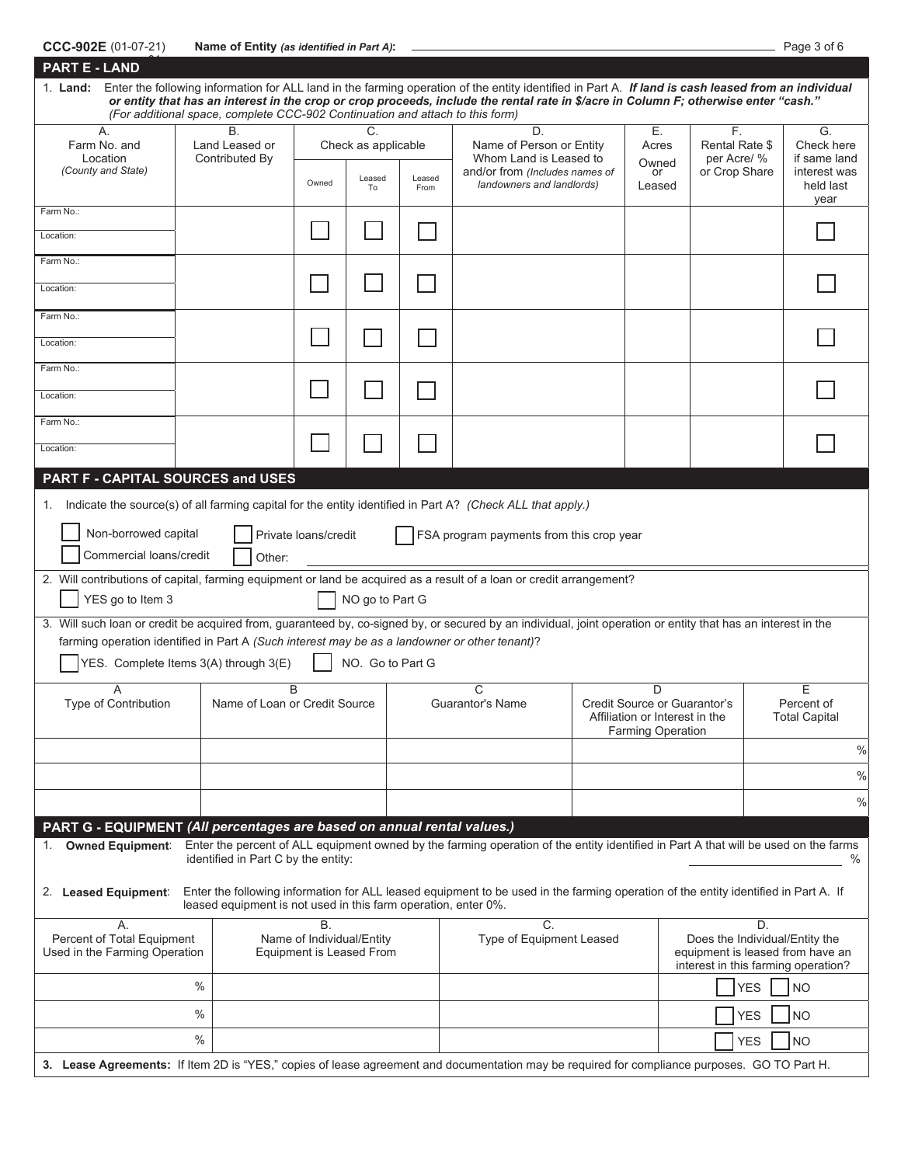| CCC-902E (01-07-21) | Name of Entity (as identified in Part A): | Page 3 of 6 |  |
|---------------------|-------------------------------------------|-------------|--|
|                     |                                           |             |  |

| Page 3 of 6 |  |  |
|-------------|--|--|
|             |  |  |

| <b>PART E - LAND</b>                                                                                                                                                                                                                                                              |                                                                                                                                        |                                                             |                                          |                |                                                                                                                                                                                                                                                                                             |  |                                                                                                 |            |                                                               |
|-----------------------------------------------------------------------------------------------------------------------------------------------------------------------------------------------------------------------------------------------------------------------------------|----------------------------------------------------------------------------------------------------------------------------------------|-------------------------------------------------------------|------------------------------------------|----------------|---------------------------------------------------------------------------------------------------------------------------------------------------------------------------------------------------------------------------------------------------------------------------------------------|--|-------------------------------------------------------------------------------------------------|------------|---------------------------------------------------------------|
| 1. Land:                                                                                                                                                                                                                                                                          | (For additional space, complete CCC-902 Continuation and attach to this form)                                                          |                                                             |                                          |                | Enter the following information for ALL land in the farming operation of the entity identified in Part A. If land is cash leased from an individual<br>or entity that has an interest in the crop or crop proceeds, include the rental rate in \$/acre in Column F; otherwise enter "cash." |  |                                                                                                 |            |                                                               |
| A.<br>Farm No. and<br>Location<br>(County and State)                                                                                                                                                                                                                              | <b>B.</b><br>Land Leased or<br>Contributed By                                                                                          | Owned                                                       | C<br>Check as applicable<br>Leased<br>To | Leased<br>From | D.<br>Name of Person or Entity<br>Whom Land is Leased to<br>and/or from (Includes names of<br>landowners and landlords)                                                                                                                                                                     |  | Е.<br>F.<br>Rental Rate \$<br>Acres<br>per Acre/ %<br>Owned<br>or Crop Share<br>or<br>Leased    |            | G.<br>Check here<br>if same land<br>interest was<br>held last |
| Farm No.:                                                                                                                                                                                                                                                                         |                                                                                                                                        |                                                             |                                          |                |                                                                                                                                                                                                                                                                                             |  |                                                                                                 |            | year                                                          |
| Location:                                                                                                                                                                                                                                                                         |                                                                                                                                        |                                                             |                                          |                |                                                                                                                                                                                                                                                                                             |  |                                                                                                 |            |                                                               |
| Farm No.:                                                                                                                                                                                                                                                                         |                                                                                                                                        |                                                             |                                          |                |                                                                                                                                                                                                                                                                                             |  |                                                                                                 |            |                                                               |
| Location:                                                                                                                                                                                                                                                                         |                                                                                                                                        |                                                             |                                          |                |                                                                                                                                                                                                                                                                                             |  |                                                                                                 |            |                                                               |
| Farm No.:                                                                                                                                                                                                                                                                         |                                                                                                                                        |                                                             |                                          |                |                                                                                                                                                                                                                                                                                             |  |                                                                                                 |            |                                                               |
| Location:                                                                                                                                                                                                                                                                         |                                                                                                                                        |                                                             |                                          |                |                                                                                                                                                                                                                                                                                             |  |                                                                                                 |            |                                                               |
| Farm No.:                                                                                                                                                                                                                                                                         |                                                                                                                                        |                                                             |                                          |                |                                                                                                                                                                                                                                                                                             |  |                                                                                                 |            |                                                               |
| Location:                                                                                                                                                                                                                                                                         |                                                                                                                                        |                                                             |                                          |                |                                                                                                                                                                                                                                                                                             |  |                                                                                                 |            |                                                               |
| Farm No.:                                                                                                                                                                                                                                                                         |                                                                                                                                        |                                                             |                                          |                |                                                                                                                                                                                                                                                                                             |  |                                                                                                 |            |                                                               |
| Location:                                                                                                                                                                                                                                                                         |                                                                                                                                        |                                                             |                                          |                |                                                                                                                                                                                                                                                                                             |  |                                                                                                 |            |                                                               |
| PART F - CAPITAL SOURCES and USES                                                                                                                                                                                                                                                 |                                                                                                                                        |                                                             |                                          |                |                                                                                                                                                                                                                                                                                             |  |                                                                                                 |            |                                                               |
| 1. Indicate the source(s) of all farming capital for the entity identified in Part A? (Check ALL that apply.)                                                                                                                                                                     |                                                                                                                                        |                                                             |                                          |                |                                                                                                                                                                                                                                                                                             |  |                                                                                                 |            |                                                               |
| Non-borrowed capital<br>Commercial loans/credit                                                                                                                                                                                                                                   | Other:                                                                                                                                 | Private loans/credit                                        |                                          |                | FSA program payments from this crop year                                                                                                                                                                                                                                                    |  |                                                                                                 |            |                                                               |
| 2. Will contributions of capital, farming equipment or land be acquired as a result of a loan or credit arrangement?<br>YES go to Item 3                                                                                                                                          |                                                                                                                                        |                                                             | NO go to Part G                          |                |                                                                                                                                                                                                                                                                                             |  |                                                                                                 |            |                                                               |
| 3. Will such loan or credit be acquired from, guaranteed by, co-signed by, or secured by an individual, joint operation or entity that has an interest in the                                                                                                                     | farming operation identified in Part A (Such interest may be as a landowner or other tenant)?<br>YES. Complete Items 3(A) through 3(E) |                                                             | NO. Go to Part G                         |                |                                                                                                                                                                                                                                                                                             |  |                                                                                                 |            |                                                               |
| Type of Contribution                                                                                                                                                                                                                                                              | Name of Loan or Credit Source                                                                                                          | B                                                           |                                          |                | C<br><b>Guarantor's Name</b>                                                                                                                                                                                                                                                                |  | D<br>Credit Source or Guarantor's<br>Affiliation or Interest in the<br><b>Farming Operation</b> |            | E<br>Percent of<br><b>Total Capital</b>                       |
|                                                                                                                                                                                                                                                                                   |                                                                                                                                        |                                                             |                                          |                |                                                                                                                                                                                                                                                                                             |  |                                                                                                 |            | $\%$                                                          |
|                                                                                                                                                                                                                                                                                   |                                                                                                                                        |                                                             |                                          |                |                                                                                                                                                                                                                                                                                             |  |                                                                                                 |            | $\%$                                                          |
|                                                                                                                                                                                                                                                                                   |                                                                                                                                        |                                                             |                                          |                |                                                                                                                                                                                                                                                                                             |  |                                                                                                 |            | $\%$                                                          |
| PART G - EQUIPMENT (All percentages are based on annual rental values.)<br>Enter the percent of ALL equipment owned by the farming operation of the entity identified in Part A that will be used on the farms<br>1. Owned Equipment:<br>identified in Part C by the entity:<br>% |                                                                                                                                        |                                                             |                                          |                |                                                                                                                                                                                                                                                                                             |  |                                                                                                 |            |                                                               |
| Enter the following information for ALL leased equipment to be used in the farming operation of the entity identified in Part A. If<br>2. Leased Equipment:<br>leased equipment is not used in this farm operation, enter 0%.                                                     |                                                                                                                                        |                                                             |                                          |                |                                                                                                                                                                                                                                                                                             |  |                                                                                                 |            |                                                               |
| А.<br>Percent of Total Equipment<br>Used in the Farming Operation                                                                                                                                                                                                                 |                                                                                                                                        | Β.<br>Name of Individual/Entity<br>Equipment is Leased From |                                          |                | C.<br>Type of Equipment Leased                                                                                                                                                                                                                                                              |  | equipment is leased from have an<br>interest in this farming operation?                         | D.         | Does the Individual/Entity the                                |
|                                                                                                                                                                                                                                                                                   | $\%$                                                                                                                                   |                                                             |                                          |                |                                                                                                                                                                                                                                                                                             |  |                                                                                                 | <b>YES</b> | <b>NO</b>                                                     |
|                                                                                                                                                                                                                                                                                   | $\%$                                                                                                                                   |                                                             |                                          |                |                                                                                                                                                                                                                                                                                             |  |                                                                                                 | <b>YES</b> | <b>NO</b>                                                     |
|                                                                                                                                                                                                                                                                                   | $\%$                                                                                                                                   |                                                             |                                          |                |                                                                                                                                                                                                                                                                                             |  |                                                                                                 | <b>YES</b> | <b>NO</b>                                                     |
| 3. Lease Agreements: If Item 2D is "YES," copies of lease agreement and documentation may be required for compliance purposes. GO TO Part H.                                                                                                                                      |                                                                                                                                        |                                                             |                                          |                |                                                                                                                                                                                                                                                                                             |  |                                                                                                 |            |                                                               |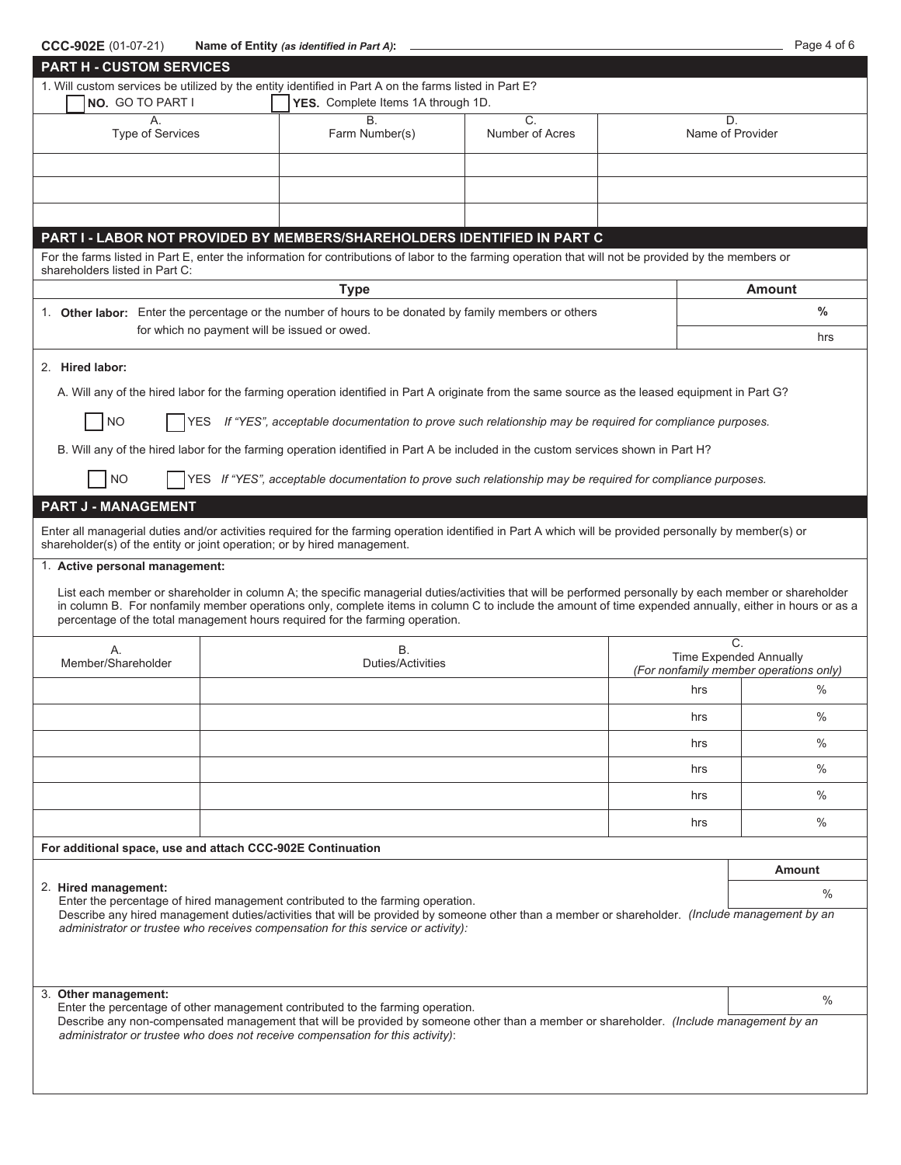| CCC-902E (01-07-21)                                                      | Name of Entity (as identified in Part A):                                                                                                                                                                                                                                                                        |                  |                               | Page 4 of 6                            |  |
|--------------------------------------------------------------------------|------------------------------------------------------------------------------------------------------------------------------------------------------------------------------------------------------------------------------------------------------------------------------------------------------------------|------------------|-------------------------------|----------------------------------------|--|
| <b>PART H - CUSTOM SERVICES</b>                                          |                                                                                                                                                                                                                                                                                                                  |                  |                               |                                        |  |
|                                                                          | 1. Will custom services be utilized by the entity identified in Part A on the farms listed in Part E?                                                                                                                                                                                                            |                  |                               |                                        |  |
| NO. GO TO PART I                                                         | YES. Complete Items 1A through 1D.                                                                                                                                                                                                                                                                               |                  |                               |                                        |  |
| А.                                                                       | Β.                                                                                                                                                                                                                                                                                                               | $\overline{C}$ . | D.                            |                                        |  |
| <b>Type of Services</b>                                                  | Farm Number(s)                                                                                                                                                                                                                                                                                                   | Number of Acres  | Name of Provider              |                                        |  |
|                                                                          |                                                                                                                                                                                                                                                                                                                  |                  |                               |                                        |  |
|                                                                          |                                                                                                                                                                                                                                                                                                                  |                  |                               |                                        |  |
|                                                                          |                                                                                                                                                                                                                                                                                                                  |                  |                               |                                        |  |
|                                                                          |                                                                                                                                                                                                                                                                                                                  |                  |                               |                                        |  |
|                                                                          |                                                                                                                                                                                                                                                                                                                  |                  |                               |                                        |  |
|                                                                          | PART I - LABOR NOT PROVIDED BY MEMBERS/SHAREHOLDERS IDENTIFIED IN PART C                                                                                                                                                                                                                                         |                  |                               |                                        |  |
|                                                                          | For the farms listed in Part E, enter the information for contributions of labor to the farming operation that will not be provided by the members or                                                                                                                                                            |                  |                               |                                        |  |
| shareholders listed in Part C:                                           |                                                                                                                                                                                                                                                                                                                  |                  |                               |                                        |  |
|                                                                          | <b>Type</b>                                                                                                                                                                                                                                                                                                      |                  |                               | Amount                                 |  |
|                                                                          | 1. Other labor: Enter the percentage or the number of hours to be donated by family members or others                                                                                                                                                                                                            |                  |                               | $\frac{0}{0}$                          |  |
|                                                                          | for which no payment will be issued or owed.                                                                                                                                                                                                                                                                     |                  |                               | hrs                                    |  |
|                                                                          |                                                                                                                                                                                                                                                                                                                  |                  |                               |                                        |  |
| 2. Hired labor:                                                          |                                                                                                                                                                                                                                                                                                                  |                  |                               |                                        |  |
|                                                                          | A. Will any of the hired labor for the farming operation identified in Part A originate from the same source as the leased equipment in Part G?                                                                                                                                                                  |                  |                               |                                        |  |
|                                                                          |                                                                                                                                                                                                                                                                                                                  |                  |                               |                                        |  |
| NO                                                                       | YES If "YES", acceptable documentation to prove such relationship may be required for compliance purposes.                                                                                                                                                                                                       |                  |                               |                                        |  |
|                                                                          |                                                                                                                                                                                                                                                                                                                  |                  |                               |                                        |  |
|                                                                          | B. Will any of the hired labor for the farming operation identified in Part A be included in the custom services shown in Part H?                                                                                                                                                                                |                  |                               |                                        |  |
| <b>NO</b>                                                                | YES If "YES", acceptable documentation to prove such relationship may be required for compliance purposes.                                                                                                                                                                                                       |                  |                               |                                        |  |
|                                                                          |                                                                                                                                                                                                                                                                                                                  |                  |                               |                                        |  |
| <b>PART J - MANAGEMENT</b>                                               |                                                                                                                                                                                                                                                                                                                  |                  |                               |                                        |  |
|                                                                          | Enter all managerial duties and/or activities required for the farming operation identified in Part A which will be provided personally by member(s) or                                                                                                                                                          |                  |                               |                                        |  |
| shareholder(s) of the entity or joint operation; or by hired management. |                                                                                                                                                                                                                                                                                                                  |                  |                               |                                        |  |
| 1. Active personal management:                                           |                                                                                                                                                                                                                                                                                                                  |                  |                               |                                        |  |
|                                                                          |                                                                                                                                                                                                                                                                                                                  |                  |                               |                                        |  |
|                                                                          | List each member or shareholder in column A; the specific managerial duties/activities that will be performed personally by each member or shareholder<br>in column B. For nonfamily member operations only, complete items in column C to include the amount of time expended annually, either in hours or as a |                  |                               |                                        |  |
|                                                                          | percentage of the total management hours required for the farming operation.                                                                                                                                                                                                                                     |                  |                               |                                        |  |
|                                                                          |                                                                                                                                                                                                                                                                                                                  |                  | C.                            |                                        |  |
| Α.                                                                       | B.                                                                                                                                                                                                                                                                                                               |                  | <b>Time Expended Annually</b> |                                        |  |
| Member/Shareholder                                                       | Duties/Activities                                                                                                                                                                                                                                                                                                |                  |                               | (For nonfamily member operations only) |  |
|                                                                          |                                                                                                                                                                                                                                                                                                                  |                  | hrs                           | $\frac{0}{0}$                          |  |
|                                                                          |                                                                                                                                                                                                                                                                                                                  |                  |                               |                                        |  |
|                                                                          |                                                                                                                                                                                                                                                                                                                  |                  | hrs                           | $\%$                                   |  |
|                                                                          |                                                                                                                                                                                                                                                                                                                  |                  | hrs                           | $\%$                                   |  |
|                                                                          |                                                                                                                                                                                                                                                                                                                  |                  |                               |                                        |  |
|                                                                          |                                                                                                                                                                                                                                                                                                                  |                  | hrs                           | $\%$                                   |  |
|                                                                          |                                                                                                                                                                                                                                                                                                                  |                  | hrs                           | $\%$                                   |  |
|                                                                          |                                                                                                                                                                                                                                                                                                                  |                  |                               |                                        |  |
|                                                                          |                                                                                                                                                                                                                                                                                                                  |                  | hrs                           | $\%$                                   |  |
| For additional space, use and attach CCC-902E Continuation               |                                                                                                                                                                                                                                                                                                                  |                  |                               |                                        |  |
|                                                                          |                                                                                                                                                                                                                                                                                                                  |                  |                               | Amount                                 |  |
| 2. Hired management:                                                     |                                                                                                                                                                                                                                                                                                                  |                  |                               |                                        |  |
|                                                                          | Enter the percentage of hired management contributed to the farming operation.                                                                                                                                                                                                                                   |                  |                               | $\%$                                   |  |
|                                                                          | Describe any hired management duties/activities that will be provided by someone other than a member or shareholder. (Include management by an                                                                                                                                                                   |                  |                               |                                        |  |
|                                                                          | administrator or trustee who receives compensation for this service or activity):                                                                                                                                                                                                                                |                  |                               |                                        |  |
|                                                                          |                                                                                                                                                                                                                                                                                                                  |                  |                               |                                        |  |
|                                                                          |                                                                                                                                                                                                                                                                                                                  |                  |                               |                                        |  |
| 3. Other management:                                                     |                                                                                                                                                                                                                                                                                                                  |                  |                               |                                        |  |
|                                                                          | Enter the percentage of other management contributed to the farming operation.                                                                                                                                                                                                                                   |                  |                               | $\%$                                   |  |
|                                                                          | Describe any non-compensated management that will be provided by someone other than a member or shareholder. (Include management by an                                                                                                                                                                           |                  |                               |                                        |  |
|                                                                          | administrator or trustee who does not receive compensation for this activity):                                                                                                                                                                                                                                   |                  |                               |                                        |  |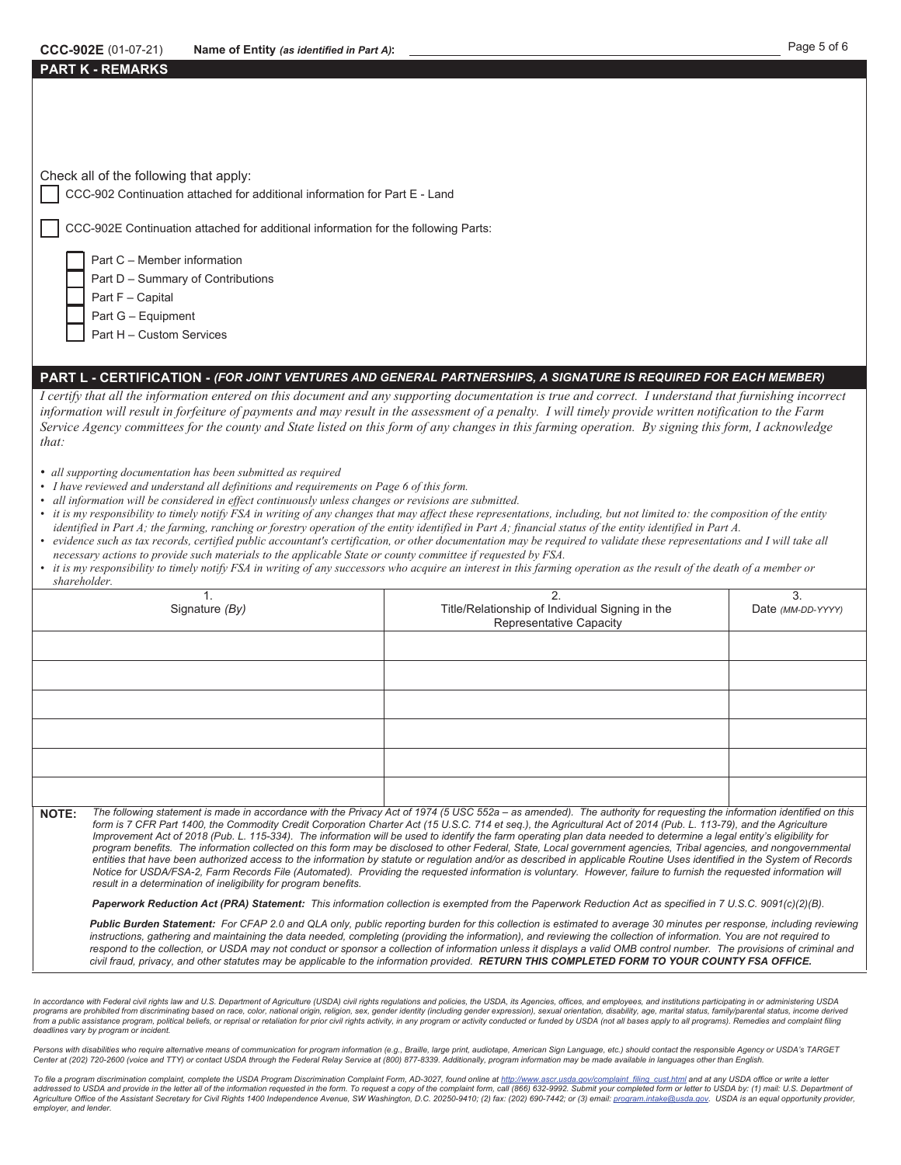## **CCC-902E** (01-07-21) Name of Entity (as identified in Part A): **All and CCC-902E** (01-07-21) Page 5 of 6

|  |  |  |  | Check all of the following that apply: |
|--|--|--|--|----------------------------------------|
|--|--|--|--|----------------------------------------|

**PART K - REMARKS**

CCC-902 Continuation attached for additional information for Part E - Land

CCC-902E Continuation attached for additional information for the following Parts:

Part C – Member information

Part D – Summary of Contributions

Part F – Capital

Part G – Equipment

Part H – Custom Services

## **PART L - CERTIFICATION -** *(FOR JOINT VENTURES AND GENERAL PARTNERSHIPS, A SIGNATURE IS REQUIRED FOR EACH MEMBER)*

*I certify that all the information entered on this document and any supporting documentation is true and correct. I understand that furnishing incorrect information will result in forfeiture of payments and may result in the assessment of a penalty. I will timely provide written notification to the Farm Service Agency committees for the county and State listed on this form of any changes in this farming operation. By signing this form, I acknowledge that:* 

- *all supporting documentation has been submitted as required*
- *I have reviewed and understand all definitions and requirements on Page 6 of this form.*
- *all information will be considered in effect continuously unless changes or revisions are submitted.*
- *it is my responsibility to timely notify FSA in writing of any changes that may affect these representations, including, but not limited to: the composition of the entity identified in Part A; the farming, ranching or forestry operation of the entity identified in Part A; financial status of the entity identified in Part A.*
- *evidence such as tax records, certified public accountant's certification, or other documentation may be required to validate these representations and I will take all necessary actions to provide such materials to the applicable State or county committee if requested by FSA.*
- *it is my responsibility to timely notify FSA in writing of any successors who acquire an interest in this farming operation as the result of the death of a member or shareholder.*

| Signature (By) | Title/Relationship of Individual Signing in the<br>Representative Capacity | ◠<br>Date (MM-DD-YYYY) |
|----------------|----------------------------------------------------------------------------|------------------------|
|                |                                                                            |                        |
|                |                                                                            |                        |
|                |                                                                            |                        |
|                |                                                                            |                        |
|                |                                                                            |                        |
|                |                                                                            |                        |

**NOTE:** *The following statement is made in accordance with the Privacy Act of 1974 (5 USC 552a – as amended). The authority for requesting the information identified on this form is 7 CFR Part 1400, the Commodity Credit Corporation Charter Act (15 U.S.C. 714 et seq.), the Agricultural Act of 2014 (Pub. L. 113-79), and the Agriculture*  Improvement Act of 2018 (Pub. L. 115-334). The information will be used to identify the farm operating plan data needed to determine a legal entity's eligibility for *program benefits. The information collected on this form may be disclosed to other Federal, State, Local government agencies, Tribal agencies, and nongovernmental entities that have been authorized access to the information by statute or regulation and/or as described in applicable Routine Uses identified in the System of Records Notice for USDA/FSA-2, Farm Records File (Automated). Providing the requested information is voluntary. However, failure to furnish the requested information will result in a determination of ineligibility for program benefits.* 

*Paperwork Reduction Act (PRA) Statement: This information collection is exempted from the Paperwork Reduction Act as specified in 7 U.S.C. 9091(c)(2)(B).* 

Public Burden Statement: For CFAP 2.0 and QLA only, public reporting burden for this collection is estimated to average 30 minutes per response, including reviewing *instructions, gathering and maintaining the data needed, completing (providing the information), and reviewing the collection of information. You are not required to*  respond to the collection, or USDA may not conduct or sponsor a collection of information unless it displays a valid OMB control number. The provisions of criminal and *civil fraud, privacy, and other statutes may be applicable to the information provided. RETURN THIS COMPLETED FORM TO YOUR COUNTY FSA OFFICE.*

In accordance with Federal civil rights law and U.S. Department of Agriculture (USDA) civil rights regulations and policies, the USDA, its Agencies, offices, and employees, and institutions participating in or administerin programs are prohibited from discriminating based on race, color, national origin, religion, sex, gender identity (including gender expression), sexual orientation, disability, age, marital status, family/parental status, from a public assistance program, political beliefs, or reprisal or retaliation for prior civil rights activity, in any program or activity conducted or funded by USDA (not all bases apply to all programs). Remedies and co *deadlines vary by program or incident.* 

Persons with disabilities who require alternative means of communication for program information (e.g., Braille, large print, audiotape, American Sign Language, etc.) should contact the responsible Agency or USDA's TARGET<br>

To file a program discrimination complaint, complete the USDA Program Discrimination Complaint Form, AD-3027, found online at http://www.ascr.usda.gov/complaint\_filing\_cust.html and at any USDA office or write a letter addressed to USDA and provide in the letter all of the information requested in the form. To request a copy of the complaint form, call (866) 632-9992. Submit your completed form or letter to USDA by: (1) mail: U.S. Depart *employer, and lender.*